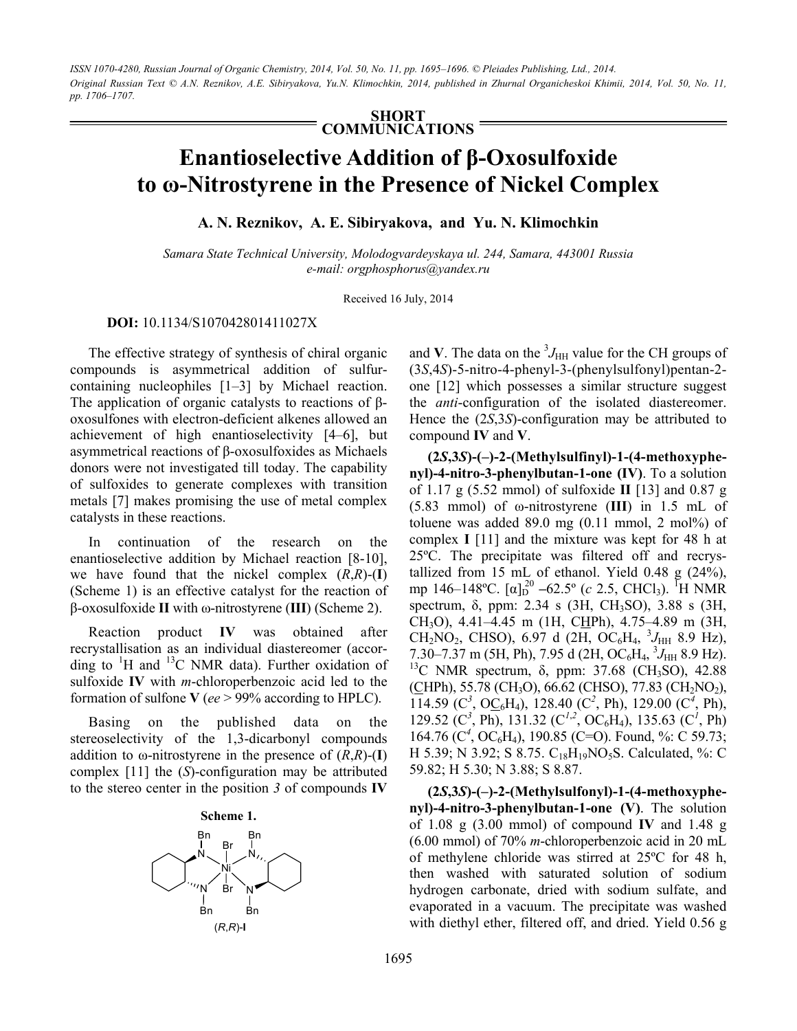*ISSN 1070-4280, Russian Journal of Organic Chemistry, 2014, Vol. 50, No. 11, pp. 1695–1696. © Pleiades Publishing, Ltd., 2014. Original Russian Text © А.N. Reznikov, А.E. Sibiryakova, Yu.N. Klimochkin, 2014, published in Zhurnal Organicheskoi Khimii, 2014, Vol. 50, No. 11, pp. 1706–1707.* 

> **SHORT COMMUNICATIONS**

## **Enantioselective Addition of β-Oxosulfoxide to ω-Nitrostyrene in the Presence of Nickel Complex**

**А. N. Reznikov, А. E. Sibiryakova, and Yu. N. Klimochkin** 

*Samara State Technical University, Molodogvardeyskaya ul. 244, Samara, 443001 Russia e-mail: orgphosphorus@yandex.ru* 

Received 16 July, 2014

## **DOI:** 10.1134/S107042801411027X

The effective strategy of synthesis of chiral organic compounds is asymmetrical addition of sulfurcontaining nucleophiles [1–3] by Michael reaction. The application of organic catalysts to reactions of βoxosulfones with electron-deficient alkenes allowed an achievement of high enantioselectivity [4–6], but asymmetrical reactions of β-oxosulfoxides as Michaels donors were not investigated till today. The capability of sulfoxides to generate complexes with transition metals [7] makes promising the use of metal complex catalysts in these reactions.

In continuation of the research on the enantioselective addition by Michael reaction [8-10], we have found that the nickel complex  $(R,R)$ - $(I)$ (Scheme 1) is an effective catalyst for the reaction of β-oxosulfoxide **II** with ω-nitrostyrene (**III**) (Scheme 2).

Reaction product **IV** was obtained after recrystallisation as an individual diastereomer (according to  ${}^{1}$ H and  ${}^{13}$ C NMR data). Further oxidation of sulfoxide **IV** with *m*-chloroperbenzoic acid led to the formation of sulfone **V** (*ee* > 99% according to HPLC).

Basing on the published data on the stereoselectivity of the 1,3-dicarbonyl compounds addition to  $\omega$ -nitrostyrene in the presence of  $(R,R)$ - $(I)$ complex [11] the (*S*)-configuration may be attributed to the stereo center in the position *3* of compounds **IV**



and **V**. The data on the  ${}^{3}J_{\text{HH}}$  value for the CH groups of (3*S*,4*S*)-5-nitro-4-phenyl-3-(phenylsulfonyl)pentan-2 one [12] which possesses a similar structure suggest the *anti*-configuration of the isolated diastereomer. Hence the (2*S*,3*S*)-configuration may be attributed to compound **IV** and **V**.

**(2***S***,3***S***)-(–)-2-(Methylsulfinyl)-1-(4-methoxyphenyl)-4-nitro-3-phenylbutan-1-one (IV)**. To a solution of 1.17 g (5.52 mmol) of sulfoxide **II** [13] and 0.87 g (5.83 mmol) of ω-nitrostyrene (**III**) in 1.5 mL of toluene was added  $89.0$  mg  $(0.11$  mmol, 2 mol%) of complex **I** [11] and the mixture was kept for 48 h at 25ºC. The precipitate was filtered off and recrystallized from 15 mL of ethanol. Yield 0.48 g (24%), mp 146–148°C. [α]<sub>D</sub><sup>20</sup> –62.5° (*c* 2.5, CHCl<sub>3</sub>). <sup>T</sup>H NMR spectrum, δ, ppm: 2.34 s (3H, CH<sub>3</sub>SO), 3.88 s (3H, CH3O), 4.41–4.45 m (1Н, CHPh), 4.75–4.89 m (3Н,  $CH_2NO_2$ , CHSO), 6.97 d (2H, OC<sub>6</sub>H<sub>4</sub>, <sup>3</sup> $J_{HH}$  8.9 Hz), 7.30–7.37 m (5H, Ph), 7.95 d (2H, OC<sub>6</sub>H<sub>4</sub>, <sup>3</sup>J<sub>HH</sub> 8.9 Hz). <sup>13</sup>C NMR spectrum, δ, ppm: 37.68 (CH<sub>3</sub>SO), 42.88  $(CHPh, 55.78$  (CH<sub>3</sub>O), 66.62 (CHSO), 77.83 (CH<sub>2</sub>NO<sub>2</sub>),  $114.59$  ( $C^3$ ,  $OC_6H_4$ ), 128.40 ( $C^2$ , Ph), 129.00 ( $C^4$ , Ph), 129.52 ( $C^3$ , Ph), 131.32 ( $C^{1,2}$ , OC<sub>6</sub>H<sub>4</sub>), 135.63 ( $C^1$ , Ph) 164.76 (С<sup>4</sup>, ОС<sub>6</sub>Н<sub>4</sub>), 190.85 (С=О). Found, %: С 59.73; H 5.39; N 3.92; S 8.75.  $C_{18}H_{19}NO_5S$ . Calculated, %: C 59.82; H 5.30; N 3.88; S 8.87.

**(2***S***,3***S***)-(–)-2-(Methylsulfonyl)-1-(4-methoxyphenyl)-4-nitro-3-phenylbutan-1-one (V)**. The solution of 1.08 g (3.00 mmol) of compound **IV** and 1.48 g (6.00 mmol) of 70% *m*-chloroperbenzoic acid in 20 mL of methylene chloride was stirred at 25ºC for 48 h, then washed with saturated solution of sodium hydrogen carbonate, dried with sodium sulfate, and evaporated in a vacuum. The precipitate was washed with diethyl ether, filtered off, and dried. Yield 0.56 g